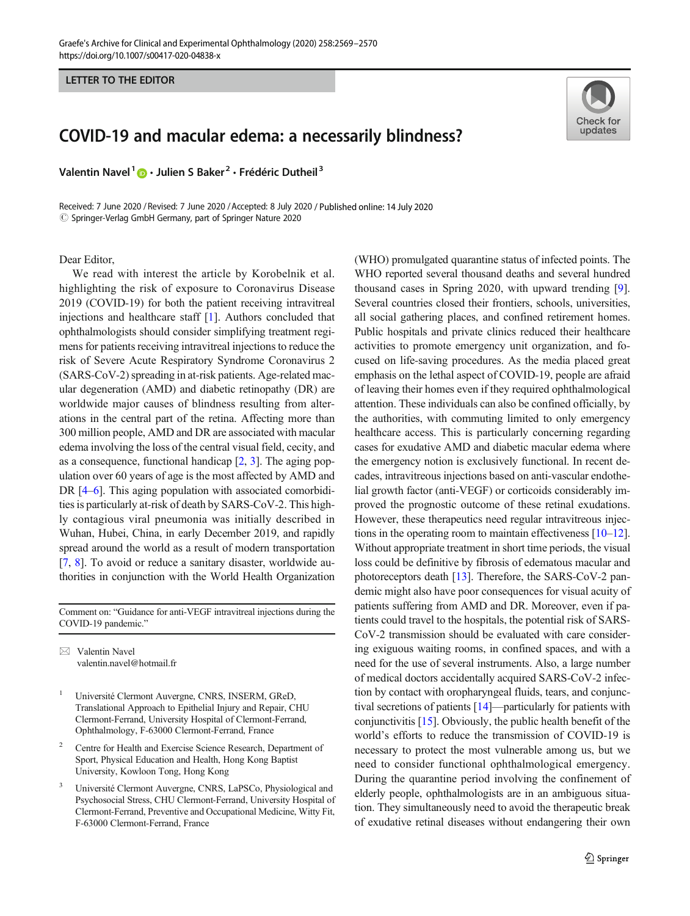LETTER TO THE EDITOR

## COVID-19 and macular edema: a necessarily blindness?

Valentin Navel<sup>1</sup> **D** · Julien S Baker<sup>2</sup> · Frédéric Dutheil<sup>3</sup>

Received: 7 June 2020 / Revised: 7 June 2020 /Accepted: 8 July 2020 / Published online: 14 July 2020  $\odot$  Springer-Verlag GmbH Germany, part of Springer Nature 2020

## Dear Editor,

We read with interest the article by Korobelnik et al. highlighting the risk of exposure to Coronavirus Disease 2019 (COVID-19) for both the patient receiving intravitreal injections and healthcare staff [[1\]](#page-1-0). Authors concluded that ophthalmologists should consider simplifying treatment regimens for patients receiving intravitreal injections to reduce the risk of Severe Acute Respiratory Syndrome Coronavirus 2 (SARS-CoV-2) spreading in at-risk patients. Age-related macular degeneration (AMD) and diabetic retinopathy (DR) are worldwide major causes of blindness resulting from alterations in the central part of the retina. Affecting more than 300 million people, AMD and DR are associated with macular edema involving the loss of the central visual field, cecity, and as a consequence, functional handicap [\[2,](#page-1-0) [3\]](#page-1-0). The aging population over 60 years of age is the most affected by AMD and DR [[4](#page-1-0)–[6](#page-1-0)]. This aging population with associated comorbidities is particularly at-risk of death by SARS-CoV-2. This highly contagious viral pneumonia was initially described in Wuhan, Hubei, China, in early December 2019, and rapidly spread around the world as a result of modern transportation [\[7](#page-1-0), [8](#page-1-0)]. To avoid or reduce a sanitary disaster, worldwide authorities in conjunction with the World Health Organization

Comment on: "Guidance for anti-VEGF intravitreal injections during the COVID-19 pandemic."

 $\boxtimes$  Valentin Navel [valentin.navel@hotmail.fr](mailto:valentin.navel@hotmail.fr)

- <sup>1</sup> Université Clermont Auvergne, CNRS, INSERM, GReD, Translational Approach to Epithelial Injury and Repair, CHU Clermont-Ferrand, University Hospital of Clermont-Ferrand, Ophthalmology, F-63000 Clermont-Ferrand, France
- <sup>2</sup> Centre for Health and Exercise Science Research, Department of Sport, Physical Education and Health, Hong Kong Baptist University, Kowloon Tong, Hong Kong
- <sup>3</sup> Université Clermont Auvergne, CNRS, LaPSCo, Physiological and Psychosocial Stress, CHU Clermont-Ferrand, University Hospital of Clermont-Ferrand, Preventive and Occupational Medicine, Witty Fit, F-63000 Clermont-Ferrand, France

(WHO) promulgated quarantine status of infected points. The WHO reported several thousand deaths and several hundred thousand cases in Spring 2020, with upward trending [[9\]](#page-1-0). Several countries closed their frontiers, schools, universities, all social gathering places, and confined retirement homes. Public hospitals and private clinics reduced their healthcare activities to promote emergency unit organization, and focused on life-saving procedures. As the media placed great emphasis on the lethal aspect of COVID-19, people are afraid of leaving their homes even if they required ophthalmological attention. These individuals can also be confined officially, by the authorities, with commuting limited to only emergency healthcare access. This is particularly concerning regarding cases for exudative AMD and diabetic macular edema where the emergency notion is exclusively functional. In recent decades, intravitreous injections based on anti-vascular endothelial growth factor (anti-VEGF) or corticoids considerably improved the prognostic outcome of these retinal exudations. However, these therapeutics need regular intravitreous injections in the operating room to maintain effectiveness [\[10](#page-1-0)–[12\]](#page-1-0). Without appropriate treatment in short time periods, the visual loss could be definitive by fibrosis of edematous macular and photoreceptors death [[13](#page-1-0)]. Therefore, the SARS-CoV-2 pandemic might also have poor consequences for visual acuity of patients suffering from AMD and DR. Moreover, even if patients could travel to the hospitals, the potential risk of SARS-CoV-2 transmission should be evaluated with care considering exiguous waiting rooms, in confined spaces, and with a need for the use of several instruments. Also, a large number of medical doctors accidentally acquired SARS-CoV-2 infection by contact with oropharyngeal fluids, tears, and conjunctival secretions of patients [\[14\]](#page-1-0)—particularly for patients with conjunctivitis [\[15\]](#page-1-0). Obviously, the public health benefit of the world's efforts to reduce the transmission of COVID-19 is necessary to protect the most vulnerable among us, but we need to consider functional ophthalmological emergency. During the quarantine period involving the confinement of elderly people, ophthalmologists are in an ambiguous situation. They simultaneously need to avoid the therapeutic break of exudative retinal diseases without endangering their own